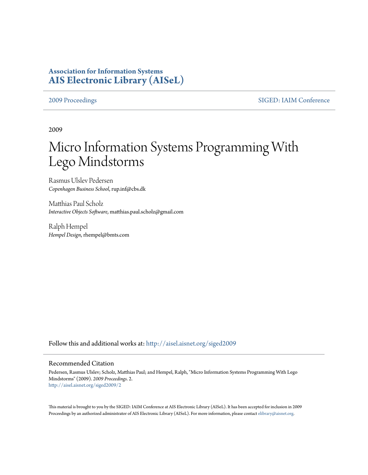# **Association for Information Systems [AIS Electronic Library \(AISeL\)](http://aisel.aisnet.org?utm_source=aisel.aisnet.org%2Fsiged2009%2F2&utm_medium=PDF&utm_campaign=PDFCoverPages)**

[2009 Proceedings](http://aisel.aisnet.org/siged2009?utm_source=aisel.aisnet.org%2Fsiged2009%2F2&utm_medium=PDF&utm_campaign=PDFCoverPages) [SIGED: IAIM Conference](http://aisel.aisnet.org/siged?utm_source=aisel.aisnet.org%2Fsiged2009%2F2&utm_medium=PDF&utm_campaign=PDFCoverPages)

2009

# Micro Information Systems Programming With Lego Mindstorms

Rasmus Ulslev Pedersen *Copenhagen Business School*, rup.inf@cbs.dk

Matthias Paul Scholz *Interactive Objects Software*, matthias.paul.scholz@gmail.com

Ralph Hempel *Hempel Design*, rhempel@bmts.com

Follow this and additional works at: [http://aisel.aisnet.org/siged2009](http://aisel.aisnet.org/siged2009?utm_source=aisel.aisnet.org%2Fsiged2009%2F2&utm_medium=PDF&utm_campaign=PDFCoverPages)

#### Recommended Citation

Pedersen, Rasmus Ulslev; Scholz, Matthias Paul; and Hempel, Ralph, "Micro Information Systems Programming With Lego Mindstorms" (2009). *2009 Proceedings*. 2. [http://aisel.aisnet.org/siged2009/2](http://aisel.aisnet.org/siged2009/2?utm_source=aisel.aisnet.org%2Fsiged2009%2F2&utm_medium=PDF&utm_campaign=PDFCoverPages)

This material is brought to you by the SIGED: IAIM Conference at AIS Electronic Library (AISeL). It has been accepted for inclusion in 2009 Proceedings by an authorized administrator of AIS Electronic Library (AISeL). For more information, please contact [elibrary@aisnet.org](mailto:elibrary@aisnet.org%3E).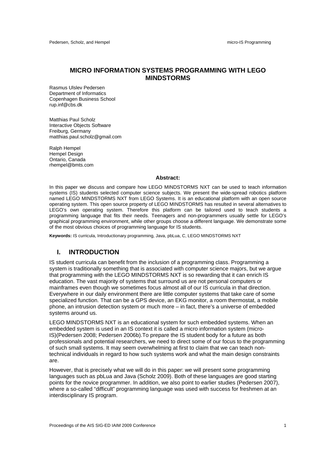#### **MICRO INFORMATION SYSTEMS PROGRAMMING WITH LEGO MINDSTORMS**

Rasmus Ulslev Pedersen Department of Informatics Copenhagen Business School rup.inf@cbs.dk

Matthias Paul Scholz Interactive Objects Software Freiburg, Germany matthias.paul.scholz@gmail.com

Ralph Hempel Hempel Design Ontario, Canada rhempel@bmts.com

#### **Abstract:**

In this paper we discuss and compare how LEGO MINDSTORMS NXT can be used to teach information systems (IS) students selected computer science subjects. We present the wide-spread robotics platform named LEGO MINDSTORMS NXT from LEGO Systems. It is an educational platform with an open source operating system. This open source property of LEGO MINDSTORMS has resulted in several alternatives to LEGO's own operating system. Therefore this platform can be tailored used to teach students a programming language that fits their needs. Teenagers and non-programmers usually settle for LEGO's graphical programming environment, while other groups choose a different language. We demonstrate some of the most obvious choices of programming language for IS students.

**Keywords:** IS curricula, Introductionary programming, Java, pbLua, C, LEGO MINDSTORMS NXT

#### **I. INTRODUCTION**

IS student curricula can benefit from the inclusion of a programming class. Programming a system is traditionally something that is associated with computer science majors, but we argue that programming with the LEGO MINDSTORMS NXT is so rewarding that it can enrich IS education. The vast majority of systems that surround us are not personal computers or mainframes even though we sometimes focus almost all of our IS curricula in that direction. Everywhere in our daily environment there are little computer systems that take care of some specialized function. That can be a GPS device, an EKG monitor, a room thermostat, a mobile phone, an intrusion detection system or much more – in fact, there's a universe of embedded systems around us.

LEGO MINDSTORMS NXT is an educational system for such embedded systems. When an embedded system is used in an IS context it is called a micro information system (micro-IS)(Pedersen 2008; Pedersen 2006b).To prepare the IS student body for a future as both professionals and potential researchers, we need to direct some of our focus to the programming of such small systems. It may seem overwhelming at first to claim that we can teach nontechnical individuals in regard to how such systems work and what the main design constraints are.

However, that is precisely what we will do in this paper: we will present some programming languages such as pbLua and Java (Scholz 2009). Both of these languages are good starting points for the novice programmer. In addition, we also point to earlier studies (Pedersen 2007), where a so-called "difficult" programming language was used with success for freshmen at an interdisciplinary IS program.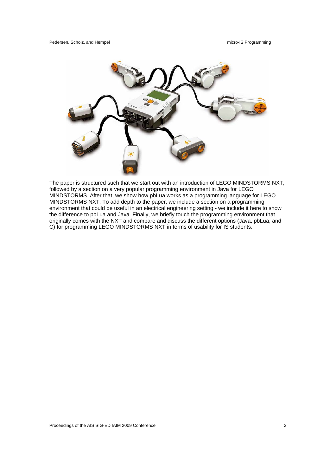

The paper is structured such that we start out with an introduction of LEGO MINDSTORMS NXT, followed by a section on a very popular programming environment in Java for LEGO MINDSTORMS. After that, we show how pbLua works as a programming language for LEGO MINDSTORMS NXT. To add depth to the paper, we include a section on a programming environment that could be useful in an electrical engineering setting - we include it here to show the difference to pbLua and Java. Finally, we briefly touch the programming environment that originally comes with the NXT and compare and discuss the different options (Java, pbLua, and C) for programming LEGO MINDSTORMS NXT in terms of usability for IS students.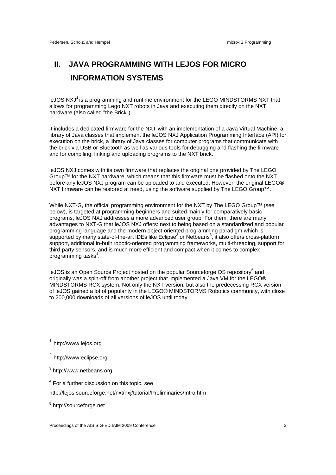# **II. JAVA PROGRAMMING WITH LEJOS FOR MICRO INFORMATION SYSTEMS**

leJOS NXJ**<sup>1</sup>** is a programming and runtime environment for the LEGO MINDSTORMS NXT that allows for programming Lego NXT robots in Java and executing them directly on the NXT hardware (also called "the Brick").

It includes a dedicated firmware for the NXT with an implementation of a Java Virtual Machine, a library of Java classes that implement the leJOS NXJ Application Programming Interface (API) for execution on the brick, a library of Java classes for computer programs that communicate with the brick via USB or Bluetooth as well as various tools for debugging and flashing the firmware and for compiling, linking and uploading programs to the NXT brick.

leJOS NXJ comes with its own firmware that replaces the original one provided by The LEGO Group™ for the NXT hardware, which means that this firmware must be flashed onto the NXT before any leJOS NXJ program can be uploaded to and executed. However, the original LEGO® NXT firmware can be restored at need, using the software supplied by The LEGO Group™.

While NXT-G, the official programming environment for the NXT by The LEGO Group™ (see below), is targeted at programming beginners and suited mainly for comparatively basic programs, leJOS NXJ addresses a more advanced user group. For them, there are many advantages to NXT-G that leJOS NXJ offers: next to being based on a standardized and popular programming language and the modern object-oriented programming paradigm which is supported by many state-of-the-art IDEs like Eclipse<sup>2</sup> or Netbeans<sup>3</sup>, it also offers cross-platform support, additional in-built robotic-oriented programming frameworks, multi-threading, support for third-party sensors, and is much more efficient and compact when it comes to complex programming tasks<sup>4</sup>.

leJOS is an Open Source Project hosted on the popular Sourceforge OS repository<sup>5</sup> and originally was a spin-off from another project that implemented a Java VM for the LEGO® MINDSTORMS RCX system. Not only the NXT version, but also the predecessing RCX version of leJOS gained a lot of popularity in the LEGO® MINDSTORMS Robotics community, with close to 200,000 downloads of all versions of leJOS until today.

 $\overline{a}$ 

- <sup>4</sup> For a further discussion on this topic, see
- http://lejos.sourceforge.net/nxt/nxj/tutorial/Preliminaries/Intro.htm

<sup>5</sup> http://sourceforge.net

Proceedings of the AIS SIG-ED IAIM 2009 Conference 3 3

<sup>1</sup> http://www.lejos.org

<sup>2</sup> http://www.eclipse.org

<sup>&</sup>lt;sup>3</sup> http://www.netbeans.org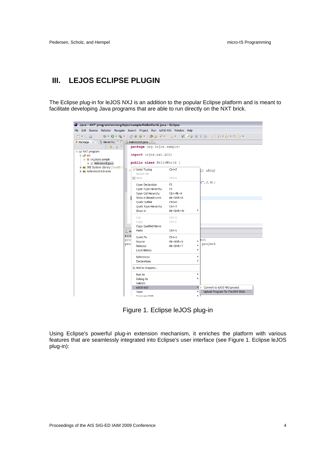# **III. LEJOS ECLIPSE PLUGIN**

The Eclipse plug-in for leJOS NXJ is an addition to the popular Eclipse platform and is meant to facilitate developing Java programs that are able to run directly on the NXT brick.

| Java - NXT program/src/org/lejos/sample/HelloWorld.java - Eclipse                                         |                                            |                              |                                         |
|-----------------------------------------------------------------------------------------------------------|--------------------------------------------|------------------------------|-----------------------------------------|
| File Edit Source Refactor Navigate Search Project Run leJOS NXJ Window Help                               |                                            |                              |                                         |
| : D1 * 17 28                                                                                              |                                            |                              |                                         |
| <b>E</b> Package $\mathbb{Z} \setminus \mathbb{S}$ Hierarchy $\Box$ <b>D</b> HelloWorld.java $\mathbb{Z}$ |                                            |                              |                                         |
| 日常 37<br>package org.lejos.sample;                                                                        |                                            |                              |                                         |
| □ is NXT program                                                                                          |                                            |                              |                                         |
| <b>B</b> src<br><sup>∈</sup> <b>H</b> org.lejos.sample                                                    | import lejos.nxt.LCD;                      |                              |                                         |
| <b>E</b> D HelloWorld.java                                                                                | public class HelloWorld {                  |                              |                                         |
| ill and JRE System Library [JavaSE-1]                                                                     |                                            |                              |                                         |
| <b>E-max</b> Referenced Libraries                                                                         | Undo Typing<br>Revert File                 | $Ctrl + Z$                   | $[$ ] a $Arg$ )                         |
|                                                                                                           | <b>開</b> Save                              | $Ctrl + S$                   |                                         |
|                                                                                                           |                                            |                              | d", 3, 4);                              |
|                                                                                                           | Open Declaration                           | F <sub>3</sub>               |                                         |
|                                                                                                           | Open Type Hierarchy<br>Open Call Hierarchy | F <sub>4</sub><br>Ctrl+Alt+H |                                         |
|                                                                                                           | Show in Breadcrumb                         | Alt+Shift+B                  |                                         |
|                                                                                                           | <b>Quick Outline</b>                       | $Ctrl + O$                   |                                         |
|                                                                                                           | Quick Type Hierarchy                       | $Ctrl + T$                   |                                         |
|                                                                                                           | Show In                                    | Alt+Shift+W                  |                                         |
|                                                                                                           | Cut:                                       | $Ctrl + X$                   |                                         |
|                                                                                                           | Copy                                       | $Ctrl + C$                   |                                         |
|                                                                                                           | Copy Qualified Name                        |                              |                                         |
|                                                                                                           | Paste<br><b>L</b> <sub>2</sub> Pt          | $Ctrl + V$                   |                                         |
|                                                                                                           | leJOS<br><b>Quick Fix</b>                  | $Ctrl + 1$                   |                                         |
|                                                                                                           | pro<br>Source                              | $Alt + Shift + S$            | $,$ ect                                 |
|                                                                                                           | pro <sup>-</sup><br>Refactor               | Alt+Shift+T                  | project                                 |
|                                                                                                           | <b>Local History</b>                       | ٠                            |                                         |
|                                                                                                           | <b>References</b>                          | ٠                            |                                         |
|                                                                                                           | <b>Declarations</b>                        | ٠                            |                                         |
|                                                                                                           | Add to Snippets                            |                              |                                         |
|                                                                                                           | <b>Run As</b>                              | ٠                            |                                         |
|                                                                                                           | Debug As                                   | ٠                            |                                         |
|                                                                                                           | Validate                                   |                              |                                         |
|                                                                                                           | leJOS NXJ                                  |                              | • <b>J</b> Convert to leJOS NXJ project |
|                                                                                                           | Team                                       | ٠                            | Upload Program To The NXT Brick         |
|                                                                                                           | Compare With                               | кT                           |                                         |

Figure 1. Eclipse leJOS plug-in

Using Eclipse's powerful plug-in extension mechanism, it enriches the platform with various features that are seamlessly integrated into Eclipse's user interface (see Figure 1. Eclipse leJOS plug-in):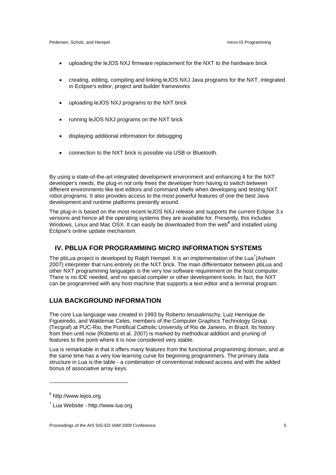#### Pedersen, Scholz, and Hempel micro-IS Programming micro-IS Programming

- uploading the leJOS NXJ firmware replacement for the NXT to the hardware brick
- creating, editing, compiling and linking leJOS NXJ Java programs for the NXT, integrated in Eclipse's editor, project and builder frameworks
- uploading leJOS NXJ programs to the NXT brick
- running leJOS NXJ programs on the NXT brick
- displaying additional information for debugging
- connection to the NXT brick is possible via USB or Bluetooth.

By using a state-of-the-art integrated development environment and enhancing it for the NXT developer's needs, the plug-in not only frees the developer from having to switch between different environments like text editors and command shells when developing and testing NXT robot programs. It also provides access to the most powerful features of one the best Java development and runtime platforms presently around.

The plug-in is based on the most recent leJOS NXJ release and supports the current Eclipse 3.x versions and hence all the operating systems they are available for. Presently, this includes Windows, Linux and Mac OSX. It can easily be downloaded from the web<sup>6</sup> and installed using Eclipse's online update mechanism.

#### **IV. PBLUA FOR PROGRAMMING MICRO INFORMATION SYSTEMS**

The pbLua project is developed by Ralph Hempel. It is an implementation of the Lua<sup>7</sup>(Ashwin 2007) interpreter that runs entirely on the NXT brick. The main differentiator between pbLua and other NXT programming languages is the very low software requirement on the host computer. There is no IDE needed, and no special compiler or other development tools. In fact, the NXT can be programmed with any host machine that supports a text editor and a terminal program.

#### **LUA BACKGROUND INFORMATION**

The core Lua language was created in 1993 by Roberto Ierusalimschy, Luiz Henrique de Figueiredo, and Waldemar Celes, members of the Computer Graphics Technology Group (Tecgraf) at PUC-Rio, the Pontifical Catholic University of Rio de Janeiro, in Brazil. Its history from then until now (Roberto et al. 2007) is marked by methodical addition and pruning of features to the point where it is now considered very stable.

Lua is remarkable in that it offers many features from the functional programming domain, and at the same time has a very low learning curve for beginning programmers. The primary data structure in Lua is the table - a combination of conventional indexed access and with the added bonus of associative array keys.

<sup>&</sup>lt;sup>6</sup> http://www.lejos.org

 $7$  Lua Website - http://www.lua.org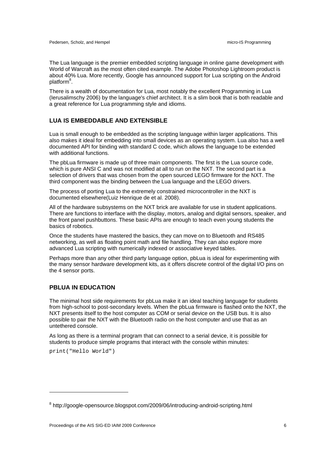The Lua language is the premier embedded scripting language in online game development with World of Warcraft as the most often cited example. The Adobe Photoshop Lightroom product is about 40% Lua. More recently, Google has announced support for Lua scripting on the Android platform<sup>8</sup>.

There is a wealth of documentation for Lua, most notably the excellent Programming in Lua (Ierusalimschy 2006) by the language's chief architect. It is a slim book that is both readable and a great reference for Lua programming style and idioms.

#### **LUA IS EMBEDDABLE AND EXTENSIBLE**

Lua is small enough to be embedded as the scripting language within larger applications. This also makes it ideal for embedding into small devices as an operating system. Lua also has a well documented API for binding with standard C code, which allows the language to be extended with additional functions.

The pbLua firmware is made up of three main components. The first is the Lua source code, which is pure ANSI C and was not modified at all to run on the NXT. The second part is a selection of drivers that was chosen from the open sourced LEGO firmware for the NXT. The third component was the binding between the Lua language and the LEGO drivers.

The process of porting Lua to the extremely constrained microcontroller in the NXT is documented elsewhere(Luiz Henrique de et al. 2008).

All of the hardware subsystems on the NXT brick are available for use in student applications. There are functions to interface with the display, motors, analog and digital sensors, speaker, and the front panel pushbuttons. These basic APIs are enough to teach even young students the basics of robotics.

Once the students have mastered the basics, they can move on to Bluetooth and RS485 networking, as well as floating point math and file handling. They can also explore more advanced Lua scripting with numerically indexed or associative keyed tables.

Perhaps more than any other third party language option, pbLua is ideal for experimenting with the many sensor hardware development kits, as it offers discrete control of the digital I/O pins on the 4 sensor ports.

### **PBLUA IN EDUCATION**

The minimal host side requirements for pbLua make it an ideal teaching language for students from high-school to post-secondary levels. When the pbLua firmware is flashed onto the NXT, the NXT presents itself to the host computer as COM or serial device on the USB bus. It is also possible to pair the NXT with the Bluetooth radio on the host computer and use that as an untethered console.

As long as there is a terminal program that can connect to a serial device, it is possible for students to produce simple programs that interact with the console within minutes:

print("Hello World")

<sup>&</sup>lt;sup>8</sup> http://google-opensource.blogspot.com/2009/06/introducing-android-scripting.html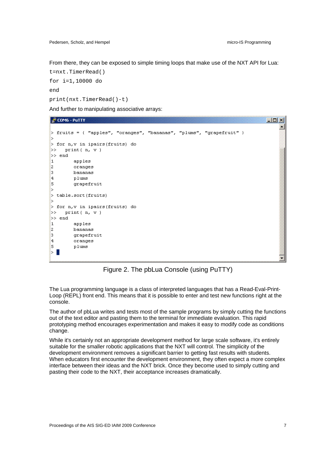From there, they can be exposed to simple timing loops that make use of the NXT API for Lua:

```
t=nxt.TimerRead() 
for i=1,10000 do 
end 
print(nxt.TimerRead()-t)
```
And further to manipulating associative arrays:



Figure 2. The pbLua Console (using PuTTY)

The Lua programming language is a class of interpreted languages that has a Read-Eval-Print-Loop (REPL) front end. This means that it is possible to enter and test new functions right at the console.

The author of pbLua writes and tests most of the sample programs by simply cutting the functions out of the text editor and pasting them to the terminal for immediate evaluation. This rapid prototyping method encourages experimentation and makes it easy to modify code as conditions change.

While it's certainly not an appropriate development method for large scale software, it's entirely suitable for the smaller robotic applications that the NXT will control. The simplicity of the development environment removes a significant barrier to getting fast results with students. When educators first encounter the development environment, they often expect a more complex interface between their ideas and the NXT brick. Once they become used to simply cutting and pasting their code to the NXT, their acceptance increases dramatically.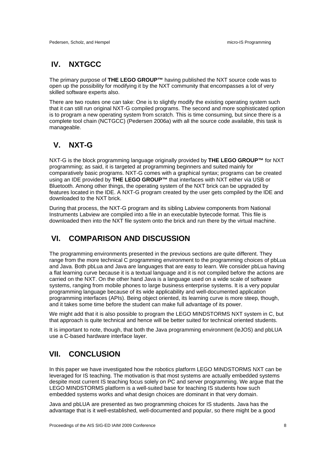# **IV. NXTGCC**

The primary purpose of **THE LEGO GROUP™** having published the NXT source code was to open up the possibility for modifying it by the NXT community that encompasses a lot of very skilled software experts also.

There are two routes one can take: One is to slightly modify the existing operating system such that it can still run original NXT-G compiled programs. The second and more sophisticated option is to program a new operating system from scratch. This is time consuming, but since there is a complete tool chain (NCTGCC) (Pedersen 2006a) with all the source code available, this task is manageable.

# **V. NXT-G**

NXT-G is the block programming language originally provided by **THE LEGO GROUP™** for NXT programming; as said, it is targeted at programming beginners and suited mainly for comparatively basic programs. NXT-G comes with a graphical syntax; programs can be created using an IDE provided by **THE LEGO GROUP™** that interfaces with NXT either via USB or Bluetooth. Among other things, the operating system of the NXT brick can be upgraded by features located in the IDE. A NXT-G program created by the user gets compiled by the IDE and downloaded to the NXT brick.

During that process, the NXT-G program and its sibling Labview components from National Instruments Labview are compiled into a file in an executable bytecode format. This file is downloaded then into the NXT file system onto the brick and run there by the virtual machine.

# **VI. COMPARISON AND DISCUSSION**

The programming environments presented in the previous sections are quite different. They range from the more technical C programming environment to the programming choices of pbLua and Java. Both pbLua and Java are languages that are easy to learn. We consider pbLua having a flat learning curve because it is a textual language and it is not compiled before the actions are carried on the NXT. On the other hand Java is a language used on a wide scale of software systems, ranging from mobile phones to large business enterprise systems. It is a very popular programming language because of its wide applicability and well-documented application programming interfaces (APIs). Being object oriented, its learning curve is more steep, though, and it takes some time before the student can make full advantage of its power.

We might add that it is also possible to program the LEGO MINDSTORMS NXT system in C, but that approach is quite technical and hence will be better suited for technical oriented students.

It is important to note, though, that both the Java programming environment (leJOS) and pbLUA use a C-based hardware interface layer.

# **VII. CONCLUSION**

In this paper we have investigated how the robotics platform LEGO MINDSTORMS NXT can be leveraged for IS teaching. The motivation is that most systems are actually embedded systems despite most current IS teaching focus solely on PC and server programming. We argue that the LEGO MINDSTORMS platform is a well-suited base for teaching IS students how such embedded systems works and what design choices are dominant in that very domain.

Java and pbLUA are presented as two programming choices for IS students. Java has the advantage that is it well-established, well-documented and popular, so there might be a good